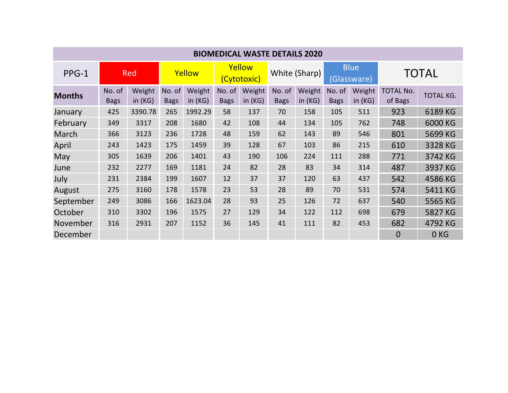| <b>BIOMEDICAL WASTE DETAILS 2020</b> |                       |                  |                       |                  |                       |                     |                       |                     |                            |                  |                             |                  |
|--------------------------------------|-----------------------|------------------|-----------------------|------------------|-----------------------|---------------------|-----------------------|---------------------|----------------------------|------------------|-----------------------------|------------------|
| PPG-1                                | <b>Red</b>            |                  | Yellow                |                  | Yellow<br>(Cytotoxic) |                     | White (Sharp)         |                     | <b>Blue</b><br>(Glassware) |                  | <b>TOTAL</b>                |                  |
| <b>Months</b>                        | No. of<br><b>Bags</b> | Weight<br>in(KG) | No. of<br><b>Bags</b> | Weight<br>in(KG) | No. of<br><b>Bags</b> | Weight<br>in $(KG)$ | No. of<br><b>Bags</b> | Weight<br>in $(KG)$ | No. of<br><b>Bags</b>      | Weight<br>in(KG) | <b>TOTAL No.</b><br>of Bags | <b>TOTAL KG.</b> |
| January                              | 425                   | 3390.78          | 265                   | 1992.29          | 58                    | 137                 | 70                    | 158                 | 105                        | 511              | 923                         | 6189 KG          |
| February                             | 349                   | 3317             | 208                   | 1680             | 42                    | 108                 | 44                    | 134                 | 105                        | 762              | 748                         | 6000 KG          |
| March                                | 366                   | 3123             | 236                   | 1728             | 48                    | 159                 | 62                    | 143                 | 89                         | 546              | 801                         | 5699 KG          |
| April                                | 243                   | 1423             | 175                   | 1459             | 39                    | 128                 | 67                    | 103                 | 86                         | 215              | 610                         | 3328 KG          |
| May                                  | 305                   | 1639             | 206                   | 1401             | 43                    | 190                 | 106                   | 224                 | 111                        | 288              | 771                         | 3742 KG          |
| June                                 | 232                   | 2277             | 169                   | 1181             | 24                    | 82                  | 28                    | 83                  | 34                         | 314              | 487                         | 3937 KG          |
| July                                 | 231                   | 2384             | 199                   | 1607             | 12                    | 37                  | 37                    | 120                 | 63                         | 437              | 542                         | 4586 KG          |
| August                               | 275                   | 3160             | 178                   | 1578             | 23                    | 53                  | 28                    | 89                  | 70                         | 531              | 574                         | 5411 KG          |
| September                            | 249                   | 3086             | 166                   | 1623.04          | 28                    | 93                  | 25                    | 126                 | 72                         | 637              | 540                         | 5565 KG          |
| October                              | 310                   | 3302             | 196                   | 1575             | 27                    | 129                 | 34                    | 122                 | 112                        | 698              | 679                         | 5827 KG          |
| November                             | 316                   | 2931             | 207                   | 1152             | 36                    | 145                 | 41                    | 111                 | 82                         | 453              | 682                         | 4792 KG          |
| December                             |                       |                  |                       |                  |                       |                     |                       |                     |                            |                  | $\overline{0}$              | 0 <sub>KG</sub>  |